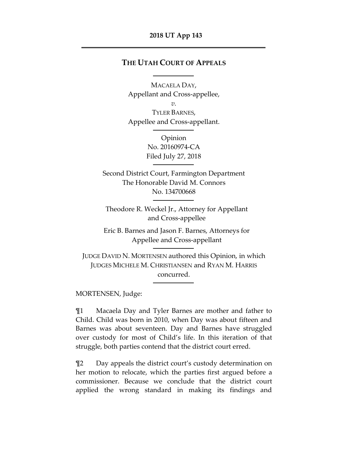## **THE UTAH COURT OF APPEALS**

MACAELA DAY, Appellant and Cross-appellee, *v.* TYLER BARNES, Appellee and Cross-appellant.

> Opinion No. 20160974-CA Filed July 27, 2018

Second District Court, Farmington Department The Honorable David M. Connors No. 134700668

Theodore R. Weckel Jr., Attorney for Appellant and Cross-appellee

Eric B. Barnes and Jason F. Barnes, Attorneys for Appellee and Cross-appellant

JUDGE DAVID N. MORTENSEN authored this Opinion, in which JUDGES MICHELE M. CHRISTIANSEN and RYAN M. HARRIS concurred.

MORTENSEN, Judge:

¶1 Macaela Day and Tyler Barnes are mother and father to Child. Child was born in 2010, when Day was about fifteen and Barnes was about seventeen. Day and Barnes have struggled over custody for most of Child's life. In this iteration of that struggle, both parties contend that the district court erred.

¶2 Day appeals the district court's custody determination on her motion to relocate, which the parties first argued before a commissioner. Because we conclude that the district court applied the wrong standard in making its findings and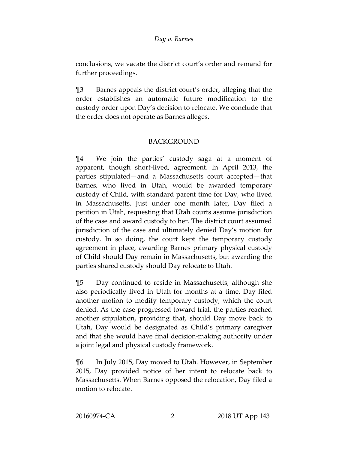conclusions, we vacate the district court's order and remand for further proceedings.

¶3 Barnes appeals the district court's order, alleging that the order establishes an automatic future modification to the custody order upon Day's decision to relocate. We conclude that the order does not operate as Barnes alleges.

## BACKGROUND

¶4 We join the parties' custody saga at a moment of apparent, though short-lived, agreement. In April 2013, the parties stipulated—and a Massachusetts court accepted—that Barnes, who lived in Utah, would be awarded temporary custody of Child, with standard parent time for Day, who lived in Massachusetts. Just under one month later, Day filed a petition in Utah, requesting that Utah courts assume jurisdiction of the case and award custody to her. The district court assumed jurisdiction of the case and ultimately denied Day's motion for custody. In so doing, the court kept the temporary custody agreement in place, awarding Barnes primary physical custody of Child should Day remain in Massachusetts, but awarding the parties shared custody should Day relocate to Utah.

¶5 Day continued to reside in Massachusetts, although she also periodically lived in Utah for months at a time. Day filed another motion to modify temporary custody, which the court denied. As the case progressed toward trial, the parties reached another stipulation, providing that, should Day move back to Utah, Day would be designated as Child's primary caregiver and that she would have final decision-making authority under a joint legal and physical custody framework.

¶6 In July 2015, Day moved to Utah. However, in September 2015, Day provided notice of her intent to relocate back to Massachusetts. When Barnes opposed the relocation, Day filed a motion to relocate.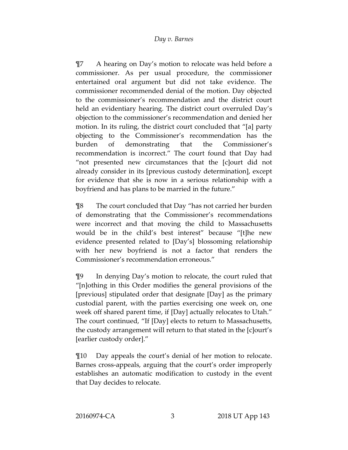¶7 A hearing on Day's motion to relocate was held before a commissioner. As per usual procedure, the commissioner entertained oral argument but did not take evidence. The commissioner recommended denial of the motion. Day objected to the commissioner's recommendation and the district court held an evidentiary hearing. The district court overruled Day's objection to the commissioner's recommendation and denied her motion. In its ruling, the district court concluded that "[a] party objecting to the Commissioner's recommendation has the burden of demonstrating that the Commissioner's recommendation is incorrect." The court found that Day had "not presented new circumstances that the [c]ourt did not already consider in its [previous custody determination], except for evidence that she is now in a serious relationship with a boyfriend and has plans to be married in the future."

¶8 The court concluded that Day "has not carried her burden of demonstrating that the Commissioner's recommendations were incorrect and that moving the child to Massachusetts would be in the child's best interest" because "[t]he new evidence presented related to [Day's] blossoming relationship with her new boyfriend is not a factor that renders the Commissioner's recommendation erroneous."

¶9 In denying Day's motion to relocate, the court ruled that "[n]othing in this Order modifies the general provisions of the [previous] stipulated order that designate [Day] as the primary custodial parent, with the parties exercising one week on, one week off shared parent time, if [Day] actually relocates to Utah." The court continued, "If [Day] elects to return to Massachusetts, the custody arrangement will return to that stated in the [c]ourt's [earlier custody order]."

¶10 Day appeals the court's denial of her motion to relocate. Barnes cross-appeals, arguing that the court's order improperly establishes an automatic modification to custody in the event that Day decides to relocate.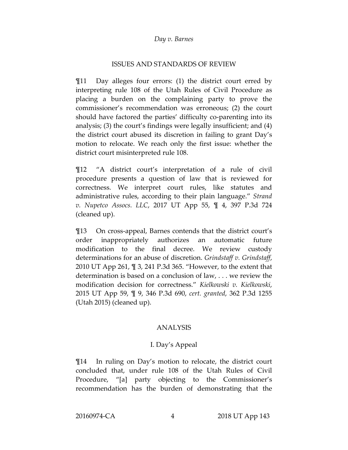### ISSUES AND STANDARDS OF REVIEW

¶11 Day alleges four errors: (1) the district court erred by interpreting rule 108 of the Utah Rules of Civil Procedure as placing a burden on the complaining party to prove the commissioner's recommendation was erroneous; (2) the court should have factored the parties' difficulty co-parenting into its analysis; (3) the court's findings were legally insufficient; and (4) the district court abused its discretion in failing to grant Day's motion to relocate. We reach only the first issue: whether the district court misinterpreted rule 108.

¶12 "A district court's interpretation of a rule of civil procedure presents a question of law that is reviewed for correctness. We interpret court rules, like statutes and administrative rules, according to their plain language." *Strand v. Nupetco Assocs. LLC*, 2017 UT App 55, ¶ 4, 397 P.3d 724 (cleaned up).

¶13 On cross-appeal, Barnes contends that the district court's order inappropriately authorizes an automatic future modification to the final decree. We review custody determinations for an abuse of discretion. *Grindstaff v. Grindstaff*, 2010 UT App 261, ¶ 3, 241 P.3d 365. "However, to the extent that determination is based on a conclusion of law, . . . we review the modification decision for correctness." *Kielkowski v. Kielkowski*, 2015 UT App 59, ¶ 9, 346 P.3d 690, *cert. granted*, 362 P.3d 1255 (Utah 2015) (cleaned up).

## ANALYSIS

## I. Day's Appeal

¶14 In ruling on Day's motion to relocate, the district court concluded that, under rule 108 of the Utah Rules of Civil Procedure, "[a] party objecting to the Commissioner's recommendation has the burden of demonstrating that the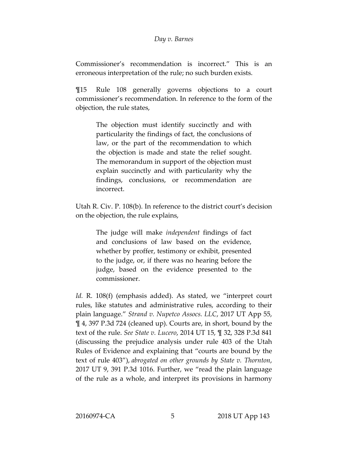Commissioner's recommendation is incorrect." This is an erroneous interpretation of the rule; no such burden exists.

¶15 Rule 108 generally governs objections to a court commissioner's recommendation. In reference to the form of the objection, the rule states,

> The objection must identify succinctly and with particularity the findings of fact, the conclusions of law, or the part of the recommendation to which the objection is made and state the relief sought. The memorandum in support of the objection must explain succinctly and with particularity why the findings, conclusions, or recommendation are incorrect.

Utah R. Civ. P. 108(b). In reference to the district court's decision on the objection, the rule explains,

> The judge will make *independent* findings of fact and conclusions of law based on the evidence, whether by proffer, testimony or exhibit, presented to the judge, or, if there was no hearing before the judge, based on the evidence presented to the commissioner.

*Id.* R. 108(f) (emphasis added). As stated, we "interpret court rules, like statutes and administrative rules, according to their plain language." *Strand v. Nupetco Assocs. LLC*, 2017 UT App 55, ¶ 4, 397 P.3d 724 (cleaned up). Courts are, in short, bound by the text of the rule. *See State v. Lucero*, 2014 UT 15, ¶ 32, 328 P.3d 841 (discussing the prejudice analysis under rule 403 of the Utah Rules of Evidence and explaining that "courts are bound by the text of rule 403"), *abrogated on other grounds by State v. Thornton*, 2017 UT 9, 391 P.3d 1016. Further, we "read the plain language of the rule as a whole, and interpret its provisions in harmony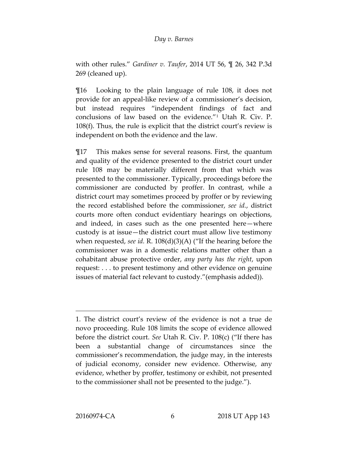with other rules." *Gardiner v. Taufer*, 2014 UT 56, ¶ 26, 342 P.3d 269 (cleaned up).

¶16 Looking to the plain language of rule 108, it does not provide for an appeal-like review of a commissioner's decision, but instead requires "independent findings of fact and conclusions of law based on the evidence."[1](#page-5-0) Utah R. Civ. P. 108(f). Thus, the rule is explicit that the district court's review is independent on both the evidence and the law.

¶17 This makes sense for several reasons. First, the quantum and quality of the evidence presented to the district court under rule 108 may be materially different from that which was presented to the commissioner. Typically, proceedings before the commissioner are conducted by proffer. In contrast, while a district court may sometimes proceed by proffer or by reviewing the record established before the commissioner, *see id.*, district courts more often conduct evidentiary hearings on objections, and indeed, in cases such as the one presented here—where custody is at issue—the district court must allow live testimony when requested, *see id.* R. 108(d)(3)(A) ("If the hearing before the commissioner was in a domestic relations matter other than a cohabitant abuse protective order, *any party has the right*, upon request: . . . to present testimony and other evidence on genuine issues of material fact relevant to custody."(emphasis added)).

<span id="page-5-0"></span><sup>1.</sup> The district court's review of the evidence is not a true de novo proceeding. Rule 108 limits the scope of evidence allowed before the district court. *See* Utah R. Civ. P. 108(c) ("If there has been a substantial change of circumstances since the commissioner's recommendation, the judge may, in the interests of judicial economy, consider new evidence. Otherwise, any evidence, whether by proffer, testimony or exhibit, not presented to the commissioner shall not be presented to the judge.").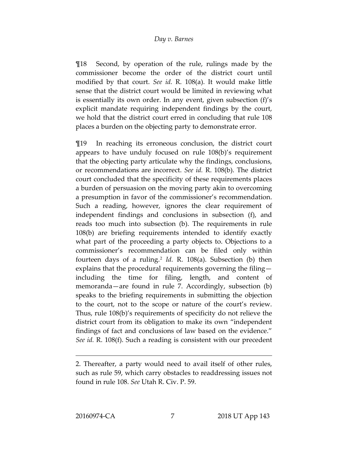¶18 Second, by operation of the rule, rulings made by the commissioner become the order of the district court until modified by that court. *See id.* R. 108(a). It would make little sense that the district court would be limited in reviewing what is essentially its own order. In any event, given subsection (f)'s explicit mandate requiring independent findings by the court, we hold that the district court erred in concluding that rule 108 places a burden on the objecting party to demonstrate error.

¶19 In reaching its erroneous conclusion, the district court appears to have unduly focused on rule 108(b)'s requirement that the objecting party articulate why the findings, conclusions, or recommendations are incorrect. *See id.* R. 108(b). The district court concluded that the specificity of these requirements places a burden of persuasion on the moving party akin to overcoming a presumption in favor of the commissioner's recommendation. Such a reading, however, ignores the clear requirement of independent findings and conclusions in subsection (f), and reads too much into subsection (b). The requirements in rule 108(b) are briefing requirements intended to identify exactly what part of the proceeding a party objects to. Objections to a commissioner's recommendation can be filed only within fourteen days of a ruling.[2](#page-6-0) *Id.* R. 108(a). Subsection (b) then explains that the procedural requirements governing the filing including the time for filing, length, and content of memoranda—are found in rule 7. Accordingly, subsection (b) speaks to the briefing requirements in submitting the objection to the court, not to the scope or nature of the court's review. Thus, rule 108(b)'s requirements of specificity do not relieve the district court from its obligation to make its own "independent findings of fact and conclusions of law based on the evidence." *See id.* R. 108(f). Such a reading is consistent with our precedent

<span id="page-6-0"></span><sup>2.</sup> Thereafter, a party would need to avail itself of other rules, such as rule 59, which carry obstacles to readdressing issues not found in rule 108. *See* Utah R. Civ. P. 59.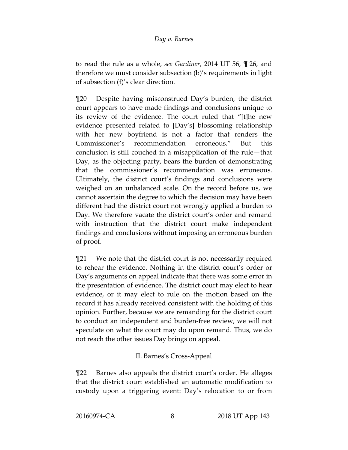to read the rule as a whole, *see Gardiner*, 2014 UT 56, ¶ 26, and therefore we must consider subsection (b)'s requirements in light of subsection (f)'s clear direction.

¶20 Despite having misconstrued Day's burden, the district court appears to have made findings and conclusions unique to its review of the evidence. The court ruled that "[t]he new evidence presented related to [Day's] blossoming relationship with her new boyfriend is not a factor that renders the Commissioner's recommendation erroneous." But this conclusion is still couched in a misapplication of the rule—that Day, as the objecting party, bears the burden of demonstrating that the commissioner's recommendation was erroneous. Ultimately, the district court's findings and conclusions were weighed on an unbalanced scale. On the record before us, we cannot ascertain the degree to which the decision may have been different had the district court not wrongly applied a burden to Day. We therefore vacate the district court's order and remand with instruction that the district court make independent findings and conclusions without imposing an erroneous burden of proof.

¶21 We note that the district court is not necessarily required to rehear the evidence. Nothing in the district court's order or Day's arguments on appeal indicate that there was some error in the presentation of evidence. The district court may elect to hear evidence, or it may elect to rule on the motion based on the record it has already received consistent with the holding of this opinion. Further, because we are remanding for the district court to conduct an independent and burden-free review, we will not speculate on what the court may do upon remand. Thus, we do not reach the other issues Day brings on appeal.

# II. Barnes's Cross-Appeal

¶22 Barnes also appeals the district court's order. He alleges that the district court established an automatic modification to custody upon a triggering event: Day's relocation to or from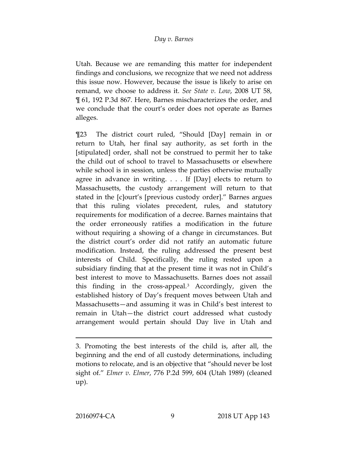Utah. Because we are remanding this matter for independent findings and conclusions, we recognize that we need not address this issue now. However, because the issue is likely to arise on remand, we choose to address it. *See State v. Low*, 2008 UT 58, ¶ 61, 192 P.3d 867. Here, Barnes mischaracterizes the order, and we conclude that the court's order does not operate as Barnes alleges.

¶23 The district court ruled, "Should [Day] remain in or return to Utah, her final say authority, as set forth in the [stipulated] order, shall not be construed to permit her to take the child out of school to travel to Massachusetts or elsewhere while school is in session, unless the parties otherwise mutually agree in advance in writing. . . . If [Day] elects to return to Massachusetts, the custody arrangement will return to that stated in the [c]ourt's [previous custody order]." Barnes argues that this ruling violates precedent, rules, and statutory requirements for modification of a decree. Barnes maintains that the order erroneously ratifies a modification in the future without requiring a showing of a change in circumstances. But the district court's order did not ratify an automatic future modification. Instead, the ruling addressed the present best interests of Child. Specifically, the ruling rested upon a subsidiary finding that at the present time it was not in Child's best interest to move to Massachusetts. Barnes does not assail this finding in the cross-appeal.[3](#page-8-0) Accordingly, given the established history of Day's frequent moves between Utah and Massachusetts—and assuming it was in Child's best interest to remain in Utah—the district court addressed what custody arrangement would pertain should Day live in Utah and

<span id="page-8-0"></span><sup>3.</sup> Promoting the best interests of the child is, after all, the beginning and the end of all custody determinations, including motions to relocate, and is an objective that "should never be lost sight of." *Elmer v. Elmer*, 776 P.2d 599, 604 (Utah 1989) (cleaned up).